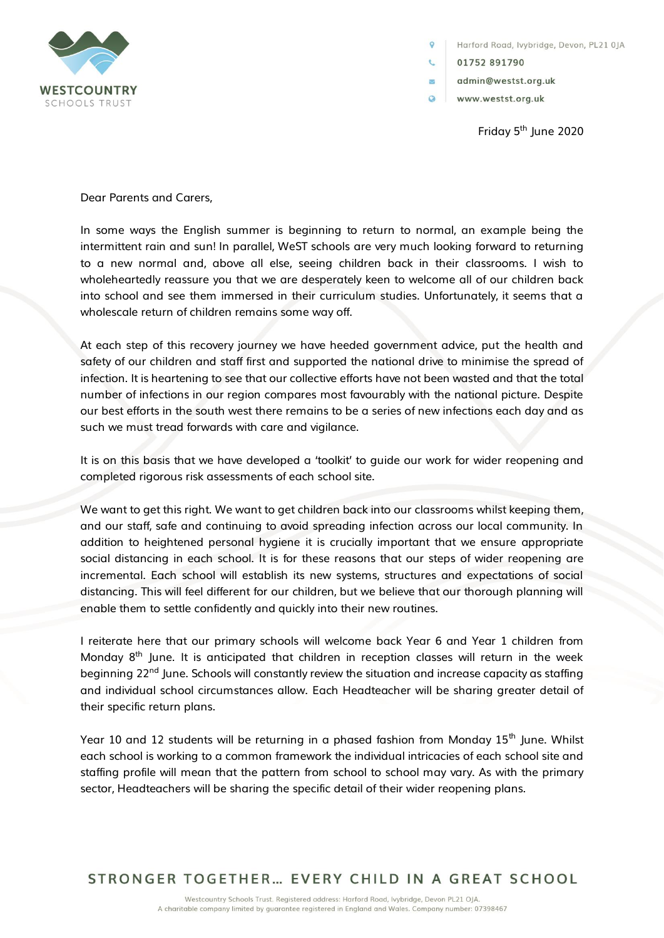

Harford Road, lvybridge, Devon, PL21 0JA

01752 891790

 $\circ$ 

 $\overline{\mathbb{Z}}$ 

- admin@westst.org.uk
- $\Omega$ www.westst.org.uk

Friday  $5<sup>th</sup>$  lune 2020

Dear Parents and Carers,

In some ways the English summer is beginning to return to normal, an example being the intermittent rain and sun! In parallel, WeST schools are very much looking forward to returning to a new normal and, above all else, seeing children back in their classrooms. I wish to wholeheartedly reassure you that we are desperately keen to welcome all of our children back into school and see them immersed in their curriculum studies. Unfortunately, it seems that a wholescale return of children remains some way off.

At each step of this recovery journey we have heeded government advice, put the health and safety of our children and staff first and supported the national drive to minimise the spread of infection. It is heartening to see that our collective efforts have not been wasted and that the total number of infections in our region compares most favourably with the national picture. Despite our best efforts in the south west there remains to be a series of new infections each day and as such we must tread forwards with care and vigilance.

It is on this basis that we have developed a 'toolkit' to guide our work for wider reopening and completed rigorous risk assessments of each school site.

We want to get this right. We want to get children back into our classrooms whilst keeping them, and our staff, safe and continuing to avoid spreading infection across our local community. In addition to heightened personal hygiene it is crucially important that we ensure appropriate social distancing in each school. It is for these reasons that our steps of wider reopening are incremental. Each school will establish its new systems, structures and expectations of social distancing. This will feel different for our children, but we believe that our thorough planning will enable them to settle confidently and quickly into their new routines.

I reiterate here that our primary schools will welcome back Year 6 and Year 1 children from Monday 8<sup>th</sup> June. It is anticipated that children in reception classes will return in the week beginning 22<sup>nd</sup> June. Schools will constantly review the situation and increase capacity as staffing and individual school circumstances allow. Each Headteacher will be sharing greater detail of their specific return plans.

Year 10 and 12 students will be returning in a phased fashion from Monday  $15<sup>th</sup>$  June. Whilst each school is working to a common framework the individual intricacies of each school site and staffing profile will mean that the pattern from school to school may vary. As with the primary sector, Headteachers will be sharing the specific detail of their wider reopening plans.

STRONGER TOGETHER... EVERY CHILD IN A GREAT SCHOOL